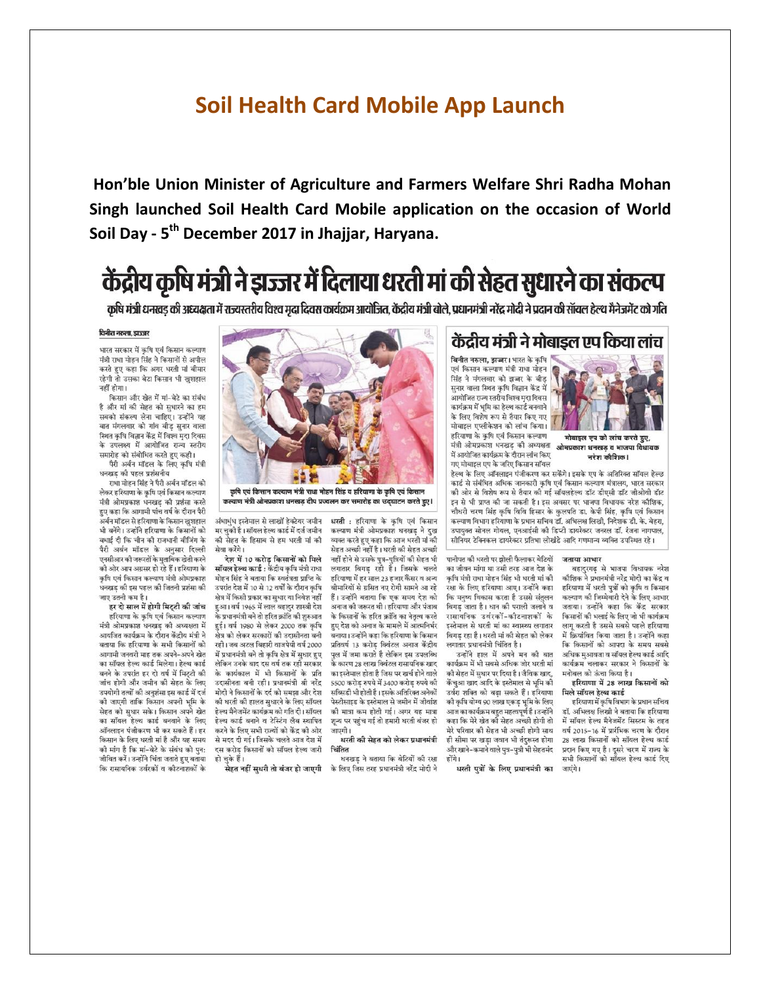## **Soil Health Card Mobile App Launch**

Hon'ble Union Minister of Agriculture and Farmers Welfare Shri Radha Mohan Singh launched Soil Health Card Mobile application on the occasion of World Soil Day - 5<sup>th</sup> December 2017 in Jhajjar, Haryana.

## केंद्रीय कृषि मंत्री ने झज्जर में दिलाया धरती मां की सेहत सुधारने का संकल्प

कृषि मंत्री धनखड की अध्यक्षता में राज्यस्तरीय विश्व मुदा दिवस कार्यक्रम आयोजित, केंद्रीय मंत्री बोले, प्रधानमंत्री नरेंद्र मोदी ने प्रदान की सॉयल हेल्थ मैनेजमेंट को गति

## विनीत नरुला, डाउजर

भारत सरकार में कृषि एवं किसान कल्याण मंत्री राधा मोहन सिंह ने किसानों से अपील करते हुए कहा कि अगर धरती मां बीमार रहेगी तो उसका बेटा किसान भी खशहाल नहीं होगा।

किसान और खेत में मां-बेटे का संबंध है और मां की सेहत को सुधारने का हम .<br>सबको संकल्प लेना चाहिए। उन्होंने यह बात मंगलवार को गांव बीड़ सुनार वाला स्थित कृषि विज्ञान केंद्र में विश्व मृदा दिवस के उपलक्ष्य में आयोजित राज्य स्तरीय समारोह को संबोधित करते हुए कही।

पैरी अर्बन मॉडल के लिए कृषि मंत्री धनखड़ की पहल प्रशंसनीय

राधा मोहन सिंह ने पैरी अर्बन मॉडल को लेकर हरियाणा के कषि एवं किसान कल्याण मंत्री ओमप्रकाश धनखड़ की प्रशंसा करते हुए कहा कि आगामी पांच वर्ष के दौरान पैरी ु<br>अर्बन मॉडल से हरियाणा के किसान खुशहाल भी बनेंगे। उन्होंने हरियाणा के किसानों को बधाई दी कि चीन की राजधानी बीजिंग के पैरी अर्बन मॉडल के अनसार दिल्ली .<br>एनसीआर की जरूरतों के मताबिक खेती करने .<br>की ओर आप अग्रसर हो रहे हैं। हरियाणा के कृषि एवं किसान कल्याण मंत्री ओमप्रकाश .<br>धनखड़ की इस पहल की जितनी प्रशंसा की जाए उतनी कम है।

.<br>हर दो साल में होगी मिट्टी की जांच हरियाणा के कृषि एवं किसान कल्याण मंत्री ओमप्रकाश धनखड की अध्यक्षता में आयंजित कार्यक्रम के दौरान केंदीय मंत्री ने बताया कि हरियाणा के सभी किसानों को आगामी जनवरी माह तक अपने-अपने खेत का सॉयल हेल्थ कार्ड मिलेगा। हेल्थ कार्ड बनने के उपरांत हर दो वर्ष में मिट्टी की .<br>जांच होगी और जमीन की सेहत के लिए उपयोगी तत्वों की अनुशंसा इस कार्ड में दर्ज की जाएगी ताकि किसान अपनी भूमि के सेहत को सुधार सके। किसान अपने खेत का सॉयल हेल्थ कार्ड बनवाने के लिए ऑनलाइन पंजीकरण भी कर सकते हैं। हर किसान के लिए धरती मां है और यह समय की मांग है कि मां-बेटे के संबंध को पन: .<br>जीवित करें। उन्होंने चिंता जताते हुए बताया कि रासायनिक उर्वरकों व कीटनाशकों के



कृषि एवं किसान कल्याण मंत्री राधा मोहन सिंह व हरियाणा के कृषि एवं किसान कल्याण मंत्री ओमप्रकाश धनखड़ दीप प्रज्वलन कर समारोह का उद्घाटन करते हुए।

अंधाधंध इस्तेमाल से लाखों हेक्टेयर जमीन मर चकी है। सॉयल हेल्थ कार्ड में दर्ज जमीन की सेहत के हिसाब से हम धरती मां की सेवा करेंगे।

देश में 10 करोड किसानों को मिले **सॉयल हेल्थ कार्ड :** केंद्रीय कृषि मंत्री राधा मोहन सिंह ने बताया कि स्वतंत्रता प्राप्ति के उपरांत देश में 10 से 12 वर्षों के दौरान कृषि क्षेत्र में किसी प्रकार का सुधार या निवेश नहीं हुआ। वर्ष 1965 में लाल बहादुर शास्त्री देश के प्रधानमंत्री बने तो हरित क्रांति की शुरुआत हई। वर्ष 1980 से लेकर 2000 तक कृषि क्षेत्र को लेकर सरकारों की उदासीनता बनी रही। जब अटल बिहारी वाजपेयी वर्ष 2000 में प्रधानमंत्री बने तो कृषि क्षेत्र में सुधार हुए लेकिन उनके बाद दस वर्ष तक रही सरकार के कार्यकाल में भी किसानों के प्रति उदासीनता बनी रही। प्रधानमंत्री श्री नरेंद्र मोदी ने किसानों के दर्द को समझा और देश की धरती की हालत सुधारने के लिए सॉयल हेल्थ मैनेजमेंट कार्यक्रम को गति दी। सॉयल हेल्थ कार्ड बनाने व टेस्टिंग लैब स्थापित .<br>करने के लिए सभी राज्यों को केंद की ओर से मदद दी गई। जिसके चलते आज देश में दस करोड किसानों को सॉयल हेल्थ जारी हो चुके हैं।

.<br>सेहत नहीं सुधरी तो बंजर हो जाएगी

धरती : हरियाणा के कृषि एवं किसान कल्याण मंत्री ओमप्रकाश धनखड़ ने दुख व्यक्त करते हुए कहा कि आज धरती मां की सेहत अच्छी नहीं है। धरती की सेहत अच्छी नहीं होने से उसके पत्र-पत्रियों की सेहत भी लगातार बिगड़ रही है। जिसके चलते हरियाणा में हर साल 23 हजार कैंसर व अन्य .<br>बीमारियों से ग्रसित नए रोगी सामने आ रहे हैं। उन्होंने बताया कि एक समय देश को अनाज की जरूरत थी। हरियाणा और पंजाब के किसानों के हरित क्रांति का नेतृत्व करते हुए देश को अनाज के मामले में आत्मनिर्भर बनाया। उन्होंने कहा कि हरियाणा के किसान प्रतिवर्ष 13 करोड क्विंटल अनाज केंद्रीय पल में जमा कराते है लेकिन इस उपलब्धि .<br>के कारण 28 लाख क्विंटल रासायनिक खाद का इस्तेमाल होता है जिस पर खर्च होने वाले 5500 करोड रुपये में 3400 करोड रुपये की सब्सिडी भी होती है। इसके अतिरिक्त अनेकों पेस्टीसाइड के इस्तेमाल से जमीन में जीवांश को मात्रा कम होती गई। अगर यह मात्रा शून्य पर पहुंच गई तो हमारी धरती बंजर हो जापगी ।

धरती की सेहत को लेकर प्रधानमंत्री चिंतित

.....<br>धनखड ने बताया कि बेटियों की रक्षा के लिए जिस तरह प्रधानमंत्री नरेंद्र मोदी ने

## केंद्रीय मंत्री ने मोबाइल एप किया लांच

विनीत नरुला, झज्जर। भारत के कृषि .<br>सिंह ने मंगलवार को झज्जर के बीड़ सुनार वाला स्थित कृषि विज्ञान केंद्र में .<br>आयोजित राज्य स्तरीय विश्व मृदा दिवस कार्यक्रम में भूमि का हेल्थ कार्ड बनवाने के लिए विशेष रूप से तैयार किए गए मोबाइल एप्लीकेशन को लांच किया। हरियाणा के कृषि एवं किसान कल्याण मंत्री ओमप्रकाश धनखड की अध्यक्षता में आयोजित कार्यक्रम के दौरान लांच किए गए मोबाइल एप के जरिए किसान सॉयल



ओमप्रकाश धनखड़ व भाजपा विधायक नरेश कौशिक।

हेल्थ के लिए ऑनलाइन पंजीकरण कर सकेंगे। इसके एप के अतिरिक्त सॉयल हेल्छ कार्ड से संबंधित अधिक जानकारी कृषि एवं किसान कल्याण मंत्रालय, भारत सरकार .<br>की ओर से विशेष रूप से तैयार की गई सॉयलहेल्थ डॉट डीएसी डॉट जीओवी डॉट इन से भी प्राप्त की जा सकती है। इस अवसर पर भाजपा विधायक नरेश कौशिक, .<br>चौधरी चरण सिंह कृषि विवि हिसार के कुलपति डा. केपी सिंह, कृषि एवं किसान कल्याण विभाग हरियाणा के प्रधान सचिव डॉ. अभिलक्ष लिखी, निदेशक डी. के. बेहरा, उपायक्त सोनल गोयल, एनआईसी की डिप्टी डायरेक्टर जनरल डॉ. रंजना नागपाल, सीनियर टेक्निकल डायरेक्टर प्रतिभा लोखंडे आदि गणमान्य व्यक्ति उपस्थित रहे।

पानीपत को धरती पर झोली फैलाकर बेटियों का जीवन मांगा था उसी तरह आज देश के कषि मंत्री राधा मोहन सिंह भी धरती मां की .<br>रक्षा के लिए हरियाणा आए। उन्होंने कहा कि मनुष्य विकास करता है उससे संतुलन बिगड़ जाता है। धान की पराली जलाने व रासायनिक उर्वरकों-कोटनाशकों के इस्तेमाल से धरती मां का स्वास्थ्य लगातार बिगड रहा है। धरती मां की सेहत को लेकर लगातार प्रधानमंत्री चिंतित है।

उन्होंने हाल में अपने मन की बात कार्यक्रम में भी सबसे अधिक जोर धरती मां की सेहत में सुधार पर दिया है। जैविक खाद, .<br>केंचुआ खाद आदि के इस्तेमाल से भूमि को उर्वरा शक्ति को बढ़ा सकते हैं। हरियाणा की कृषि योग्य 90 लाख एकड़ भूमि के लिए आज का कार्यक्रम बहुत महत्वपूर्ण है। उन्होंने कहा कि मेरे खेत की सेहत अच्छी होगी तो .<br>मेरे परिवार की सेहत भी अच्छी होगी साथ ही सीमा पर खडा जवान भी तंदरूस्त होगा और खाने-कमाने वाले पत्र-पत्री भी सेहतमंद होंगे।

धरती पुत्रों के लिए प्रधानमंत्री का

जताया आभार

बहादुरगढ़ से भाजपा विधायक नरेश कौशिक ने प्रधानमंत्री नरेंद्र मोदी का केंद्र व हरियाणा में धरती पुत्रों को कृषि व किसान कल्याण की जिम्मेवारी देने के लिए आभार जताया। उन्होंने कहा कि केंद्र सरकार किसानों की भलाई के लिए जो भी कार्यक्रम लाग करती है उससे सबसे पहले हरियाणा में कियांवित किया जाता है। उन्होंने कहा कि किसानों को आपदा के समय सबसे अधिक मुआवजा व सॉयल हेल्थ कार्ड आदि कार्यक्रम चलाकर सरकार ने किसानों के मनोबल को ऊंचा किया है।

हरियाणा में 28 लाख किसानों को मिले सॉयल हेल्थ कार्ड

हरियाणा में कृषि विभाग के प्रधान सचिव डॉ. अभिलक्ष लिखी ने बताया कि हरियाणा में सॉयल हेल्थ मैनेजमेंट सिस्टम के तहत वर्ष 2015-16 में पारंभिक चरण के टौरान 28 लाख किसानों को सॉयल हेल्थ कार्ड प्रदान किए गए है। दसरे चरण में राज्य के सभी किसानों को साँयल हेल्थ कार्ड दिए जाएंगे।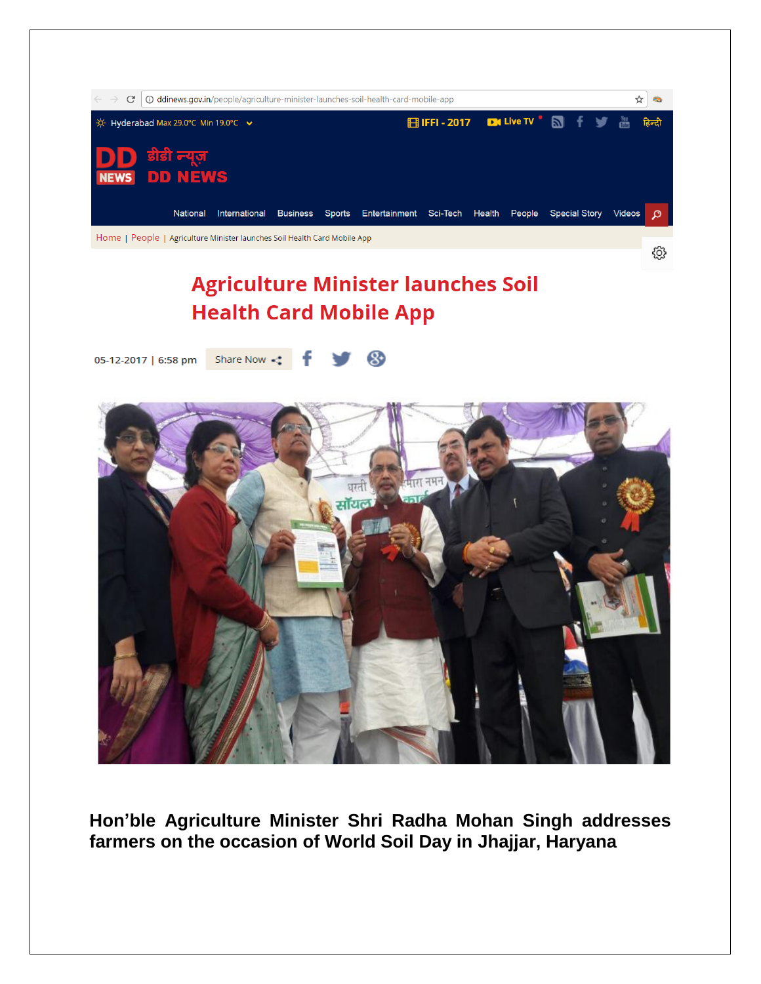

**Hon'ble Agriculture Minister Shri Radha Mohan Singh addresses farmers on the occasion of World Soil Day in Jhajjar, Haryana**